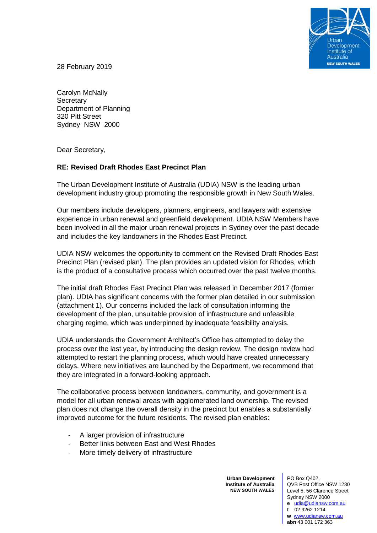

28 February 2019

Carolyn McNally **Secretary** Department of Planning 320 Pitt Street Sydney NSW 2000

Dear Secretary,

## **RE: Revised Draft Rhodes East Precinct Plan**

The Urban Development Institute of Australia (UDIA) NSW is the leading urban development industry group promoting the responsible growth in New South Wales.

Our members include developers, planners, engineers, and lawyers with extensive experience in urban renewal and greenfield development. UDIA NSW Members have been involved in all the major urban renewal projects in Sydney over the past decade and includes the key landowners in the Rhodes East Precinct.

UDIA NSW welcomes the opportunity to comment on the Revised Draft Rhodes East Precinct Plan (revised plan). The plan provides an updated vision for Rhodes, which is the product of a consultative process which occurred over the past twelve months.

The initial draft Rhodes East Precinct Plan was released in December 2017 (former plan). UDIA has significant concerns with the former plan detailed in our submission (attachment 1). Our concerns included the lack of consultation informing the development of the plan, unsuitable provision of infrastructure and unfeasible charging regime, which was underpinned by inadequate feasibility analysis.

UDIA understands the Government Architect's Office has attempted to delay the process over the last year, by introducing the design review. The design review had attempted to restart the planning process, which would have created unnecessary delays. Where new initiatives are launched by the Department, we recommend that they are integrated in a forward-looking approach.

The collaborative process between landowners, community, and government is a model for all urban renewal areas with agglomerated land ownership. The revised plan does not change the overall density in the precinct but enables a substantially improved outcome for the future residents. The revised plan enables:

- A larger provision of infrastructure
- Better links between East and West Rhodes
- More timely delivery of infrastructure

**Urban Development Institute of Australia NEW SOUTH WALES**

PO Box Q402, QVB Post Office NSW 1230 Level 5, 56 Clarence Street Sydney NSW 2000 **e** [udia@udiansw.com.au](mailto:udia@udiansw.com.au)

**t** 02 9262 1214 **w** [www.udiansw.com.au](http://www.udiansw.com.au/) **abn** 43 001 172 363